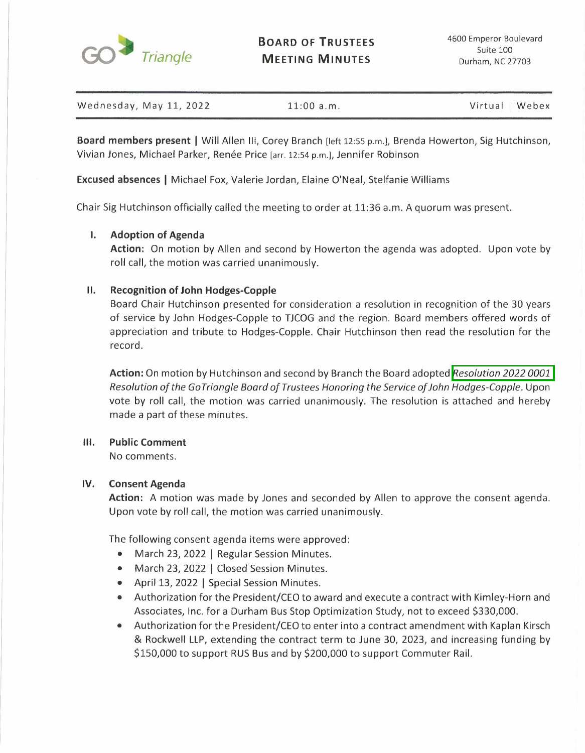

**BOARD OF TRUSTEES MEETING MINUTES** 

|  | Wednesday, May 11, 2022 | $11:00$ a.m. | Virtual   Webex |
|--|-------------------------|--------------|-----------------|
|--|-------------------------|--------------|-----------------|

**Board members present** I Will Allen Ill, Corey Branch [left 12:55 p.m.l, Brenda Howerton, Sig Hutchinson, Vivian Jones, Michael Parker, Renée Price [arr. 12:54 p.m.], Jennifer Robinson

**Excused absences** I Michael Fox, Valerie Jordan, Elaine O'Neal, Stelfanie Williams

Chair Sig Hutchinson officially called the meeting to order at 11:36 a.m. A quorum was present.

# **I. Adoption of Agenda**

**Action:** On motion by Allen and second by Howerton the agenda was adopted. Upon vote by roll call, the motion was carried unanimously.

# **II. Recognition of John Hodges-Copple**

Board Chair Hutchinson presented for consideration a resolution in recognition of the 30 years of service by John Hodges-Copple to TJCOG and the region. Board members offered words of appreciation and tribute to Hodges-Copple. Chair Hutchinson then read the resolution for the record.

**Action:** On motion by Hutchinson and second by Branch the Board adopted *Resolution 2022 0001*  Resolution of the GoTriangle Board of Trustees Honoring the Service of John Hodges-Copple. Upon vote by roll call, the motion was carried unanimously. The resolution is attached and hereby made a part of these minutes.

## **Ill. Public Comment**

No comments.

## **IV. Consent Agenda**

**Action:** A motion was made by Jones and seconded by Allen to approve the consent agenda. Upon vote by roll call, the motion was carried unanimously.

The following consent agenda items were approved:

- March 23, 2022 | Regular Session Minutes.
- March 23, 2022 | Closed Session Minutes.
- April 13, 2022 | Special Session Minutes.
- Authorization for the President/CEO to award and execute a contract with Kimley-Horn and Associates, Inc. for a Durham Bus Stop Optimization Study, not to exceed \$330,000.
- Authorization for the President/CEO to enter into a contract amendment with Kaplan Kirsch & Rockwell LLP, extending the contract term to June 30, 2023, and increasing funding by \$150,000 to support RUS Bus and by \$200,000 to support Commuter Rail.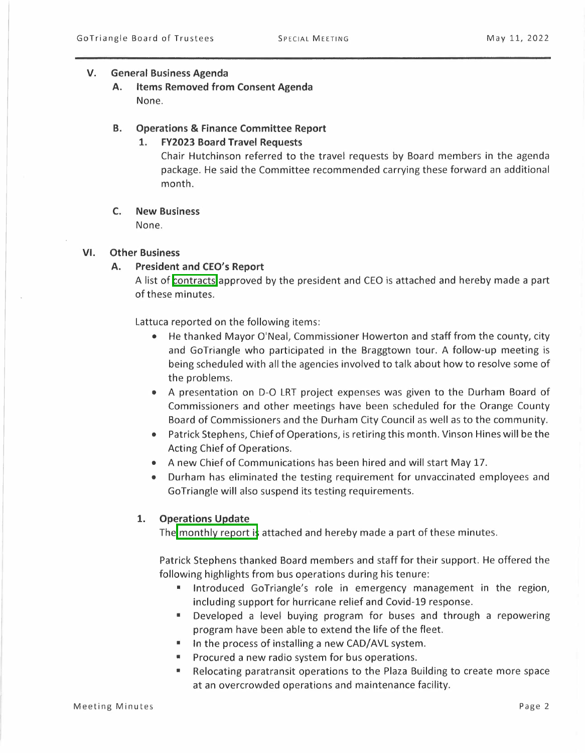### **V. General Business Agenda**

**A. Items Removed from Consent Agenda**  None.

### **B. Operations & Finance Committee Report**

# **1. FY2023 Board Travel Requests**

Chair Hutchinson referred to the travel requests by Board members in the agenda package. He said the Committee recommended carrying these forward an additional month.

### **C. New Business**

None.

## **VI. Other Business**

# **A. President and CEO's Report**

A list of contracts approved by the president and CEO is attached and hereby made a part of these minutes.

Lattuca reported on the following items:

- He thanked Mayor O'Neal, Commissioner Howerton and staff from the county, city and GoTriangle who participated in the Braggtown tour. A follow-up meeting is being scheduled with all the agencies involved to talk about how to resolve some of the problems.
- A presentation on D-O LRT project expenses was given to the Durham Board of Commissioners and other meetings have been scheduled for the Orange County Board of Commissioners and the Durham City Council as well as to the community.
- Patrick Stephens, Chief of Operations, is retiring this month. Vinson Hines will be the Acting Chief of Operations.
- A new Chief of Communications has been hired and will start May 17.
- Durham has eliminated the testing requirement for unvaccinated employees and Go Triangle will also suspend its testing requirements.

## **1. Operations Update**

The monthly report is attached and hereby made a part of these minutes.

Patrick Stephens thanked Board members and staff for their support. He offered the following highlights from bus operations during his tenure:

- Introduced GoTriangle's role in emergency management in the region, including support for hurricane relief and Covid-19 response.
- Developed a level buying program for buses and through a repowering program have been able to extend the life of the fleet.
- In the process of installing a new CAD/AVL system.
- Procured a new radio system for bus operations.
- Relocating paratransit operations to the Plaza Building to create more space at an overcrowded operations and maintenance facility.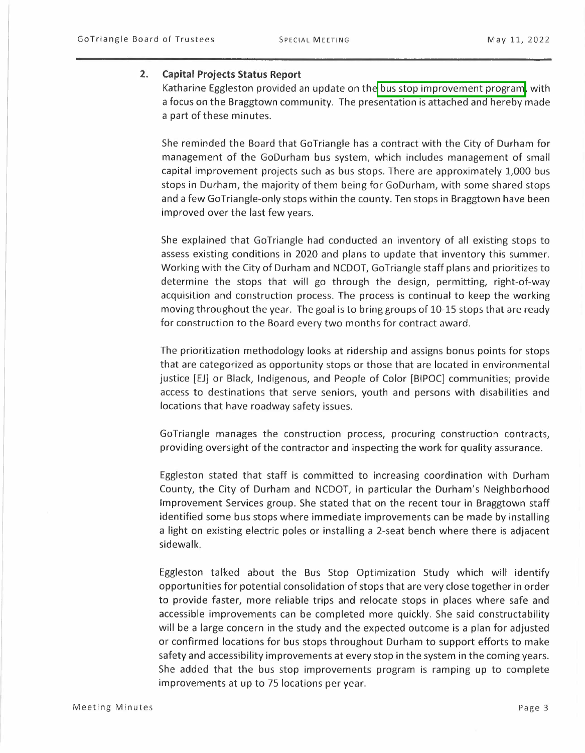#### **2. Capital Projects Status Report**

Katharine Eggleston provided an update on the bus stop improvement program, with a focus on the Braggtown community. The presentation is attached and hereby made a part of these minutes.

She reminded the Board that GoTriangle has a contract with the City of Durham for management of the GoDurham bus system, which includes management of small capital improvement projects such as bus stops. There are approximately 1,000 bus stops in Durham, the majority of them being for GoDurham, with some shared stops and a few GoTriangle-only stops within the county. Ten stops in Braggtown have been improved over the last few years.

She explained that GoTriangle had conducted an inventory of all existing stops to assess existing conditions in 2020 and plans to update that inventory this summer. Working with the City of Durham and NCDOT, GoTriangle staff plans and prioritizes to determine the stops that will go through the design, permitting, right-of-way acquisition and construction process. The process is continual to keep the working moving throughout the year. The goal is to bring groups of 10-15 stops that are ready for construction to the Board every two months for contract award.

The prioritization methodology looks at ridership and assigns bonus points for stops that are categorized as opportunity stops or those that are located in environmental justice [EJ] or Black, Indigenous, and People of Color [BIPOC] communities; provide access to destinations that serve seniors, youth and persons with disabilities and locations that have roadway safety issues.

GoTriangle manages the construction process, procuring construction contracts, providing oversight of the contractor and inspecting the work for quality assurance.

Eggleston stated that staff is committed to increasing coordination with Durham County, the City of Durham and NCDOT, in particular the Durham's Neighborhood Improvement Services group. She stated that on the recent tour in Braggtown staff identified some bus stops where immediate improvements can be made by installing a light on existing electric poles or installing a 2-seat bench where there is adjacent sidewalk.

Eggleston talked about the Bus Stop Optimization Study which will identify opportunities for potential consolidation of stops that are very close together in order to provide faster, more reliable trips and relocate stops in places where safe and accessible improvements can be completed more quickly. She said constructability will be a large concern in the study and the expected outcome is a plan for adjusted or confirmed locations for bus stops throughout Durham to support efforts to make safety and accessibility improvements at every stop in the system in the coming years. She added that the bus stop improvements program is ramping up to complete improvements at up to 75 locations per year.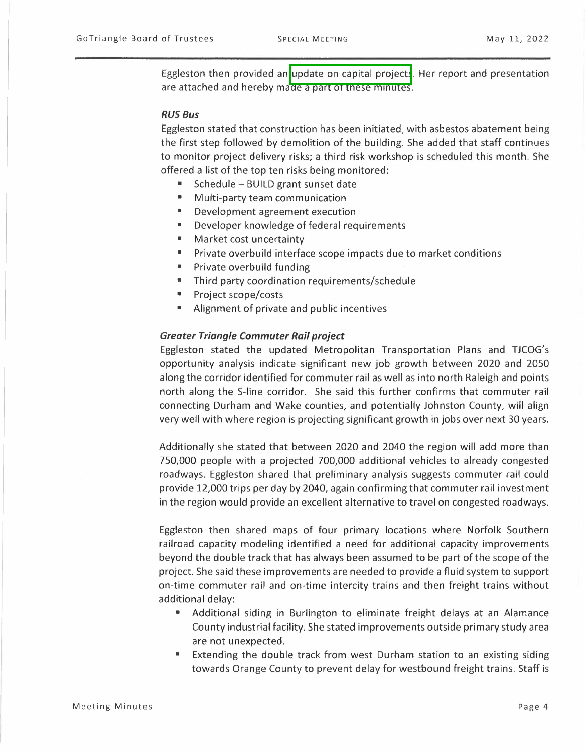Eggleston then provided an update on capital projects. Her report and presentation are attached and hereby made a part of these minutes.

#### *RUS Bus*

Eggleston stated that construction has been initiated, with asbestos abatement being the first step followed by demolition of the building. She added that staff continues to monitor project delivery risks; a third risk workshop is scheduled this month. She offered a list of the top ten risks being monitored:

- Schedule BUILD grant sunset date
- Multi-party team communication
- Development agreement execution
- Developer knowledge of federal requirements
- Market cost uncertainty
- Private overbuild interface scope impacts due to market conditions
- Private overbuild funding
- Third party coordination requirements/schedule
- Project scope/costs
- Alignment of private and public incentives

#### *Greater Triangle Commuter Rail project*

Eggleston stated the updated Metropolitan Transportation Plans and TJCOG's opportunity analysis indicate significant new job growth between 2020 and 2050 along the corridor identified for commuter rail as well as into north Raleigh and points north along the S-line corridor. She said this further confirms that commuter rail connecting Durham and Wake counties, and potentially Johnston County, will align very well with where region is projecting significant growth in jobs over next 30 years.

Additionally she stated that between 2020 and 2040 the region will add more than 750,000 people with a projected 700,000 additional vehicles to already congested roadways. Eggleston shared that preliminary analysis suggests commuter rail could provide 12,000 trips per day by 2040, again confirming that commuter rail investment in the region would provide an excellent alternative to travel on congested roadways.

Eggleston then shared maps of four primary locations where Norfolk Southern railroad capacity modeling identified a need for additional capacity improvements beyond the double track that has always been assumed to be part of the scope of the project. She said these improvements are needed to provide a fluid system to support on-time commuter rail and on-time intercity trains and then freight trains without additional delay:

- Additional siding in Burlington to eliminate freight delays at an Alamance County industrial facility. She stated improvements outside primary study area are not unexpected.
- Extending the double track from west Durham station to an existing siding towards Orange County to prevent delay for westbound freight trains. Staff is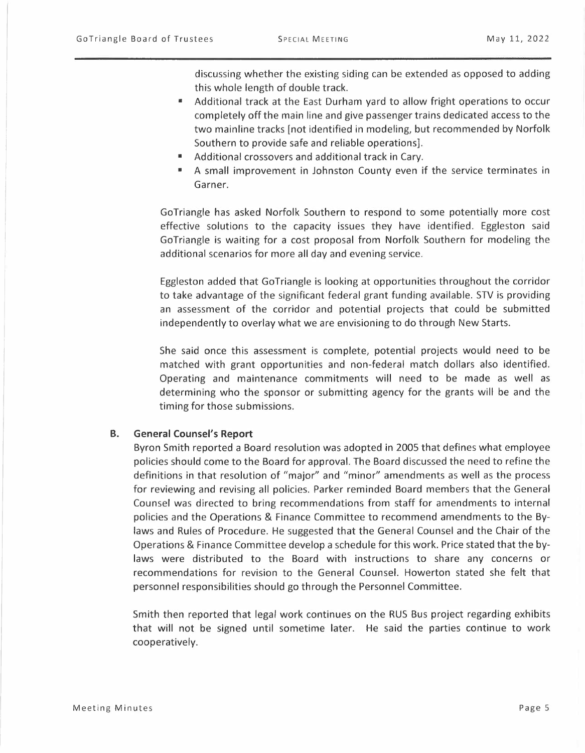discussing whether the existing siding can be extended as opposed to adding this whole length of double track.

- Additional track at the East Durham yard to allow fright operations to occur completely off the main line and give passenger trains dedicated access to the two mainline tracks [not identified in modeling, but recommended by Norfolk Southern to provide safe and reliable operations].
- Additional crossovers and additional track in Cary.
- A small improvement in Johnston County even if the service terminates in Garner.

GoTriangle has asked Norfolk Southern to respond to some potentially more cost effective solutions to the capacity issues they have identified. Eggleston said GoTriangle is waiting for a cost proposal from Norfolk Southern for modeling the additional scenarios for more all day and evening service.

Eggleston added that GoTriangle is looking at opportunities throughout the corridor to take advantage of the significant federal grant funding available. STV is providing an assessment of the corridor and potential projects that could be submitted independently to overlay what we are envisioning to do through New Starts.

She said once this assessment is complete, potential projects would need to be matched with grant opportunities and non-federal match dollars also identified. Operating and maintenance commitments will need to be made as well as determining who the sponsor or submitting agency for the grants will be and the timing for those submissions.

#### **B. General Counsel's Report**

Byron Smith reported a Board resolution was adopted in 2005 that defines what employee policies should come to the Board for approval. The Board discussed the need to refine the definitions in that resolution of "major" and "minor" amendments as well as the process for reviewing and revising all policies. Parker reminded Board members that the General Counsel was directed to bring recommendations from staff for amendments to internal policies and the Operations & Finance Committee to recommend amendments to the Bylaws and Rules of Procedure. He suggested that the General Counsel and the Chair of the Operations & Finance Committee develop a schedule for this work. Price stated that the bylaws were distributed to the Board with instructions to share any concerns or recommendations for revision to the General Counsel. Howerton stated she felt that personnel responsibilities should go through the Personnel Committee.

Smith then reported that legal work continues on the RUS Bus project regarding exhibits that will not be signed until sometime later. He said the parties continue to work cooperatively.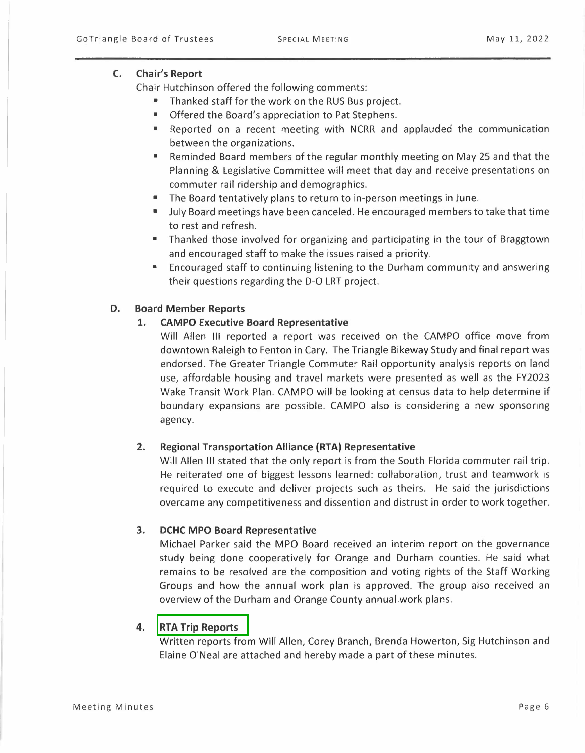# **C. Chair's Report**

Chair Hutchinson offered the following comments:

- Thanked staff for the work on the RUS Bus project.
- Offered the Board's appreciation to Pat Stephens.
- Reported on a recent meeting with NCRR and applauded the communication between the organizations.
- Reminded Board members of the regular monthly meeting on May 25 and that the Planning & Legislative Committee will meet that day and receive presentations on commuter rail ridership and demographics.
- The Board tentatively plans to return to in-person meetings in June.
- July Board meetings have been canceled. He encouraged members to take that time to rest and refresh.
- Thanked those involved for organizing and participating in the tour of Braggtown and encouraged staff to make the issues raised a priority.
- Encouraged staff to continuing listening to the Durham community and answering their questions regarding the D-O LRT project.

# **D. Board Member Reports**

# **1. CAMPO Executive Board Representative**

Will Allen Ill reported a report was received on the CAMPO office move from downtown Raleigh to Fenton in Cary. The Triangle Bikeway Study and final report was endorsed. The Greater Triangle Commuter Rail opportunity analysis reports on land use, affordable housing and travel markets were presented as well as the FY2023 Wake Transit Work Plan. CAMPO will be looking at census data to help determine if boundary expansions are possible. CAMPO also is considering a new sponsoring agency.

## **2. Regional Transportation Alliance (RTA) Representative**

Will Allen Ill stated that the only report is from the South Florida commuter rail trip. He reiterated one of biggest lessons learned: collaboration, trust and teamwork is required to execute and deliver projects such as theirs. He said the jurisdictions overcame any competitiveness and dissention and distrust in order to work together.

## **3. DCHC MPO Board Representative**

Michael Parker said the MPO Board received an interim report on the governance study being done cooperatively for Orange and Durham counties. He said what remains to be resolved are the composition and voting rights of the Staff Working Groups and how the annual work plan is approved. The group also received an overview of the Durham and Orange County annual work plans.

# **4. RTA Trip Reports**

Written reports from Will Allen, Corey Branch, Brenda Howerton, Sig Hutchinson and Elaine O'Neal are attached and hereby made a part of these minutes.